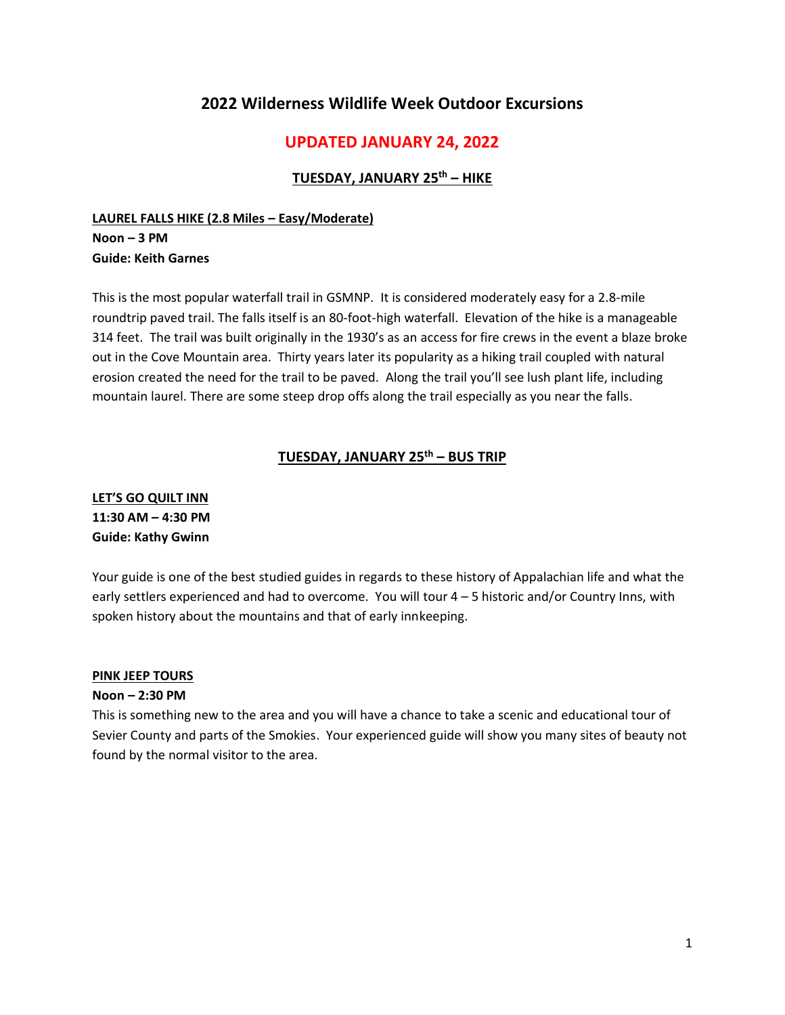# **2022 Wilderness Wildlife Week Outdoor Excursions**

# **UPDATED JANUARY 24, 2022**

#### **TUESDAY, JANUARY 25th – HIKE**

### **LAUREL FALLS HIKE (2.8 Miles – Easy/Moderate) Noon – 3 PM Guide: Keith Garnes**

This is the most popular waterfall trail in GSMNP. It is considered moderately easy for a 2.8-mile roundtrip paved trail. The falls itself is an 80-foot-high waterfall. Elevation of the hike is a manageable 314 feet. The trail was built originally in the 1930's as an access for fire crews in the event a blaze broke out in the Cove Mountain area. Thirty years later its popularity as a hiking trail coupled with natural erosion created the need for the trail to be paved. Along the trail you'll see lush plant life, including mountain laurel. There are some steep drop offs along the trail especially as you near the falls.

# **TUESDAY, JANUARY 25th – BUS TRIP**

# **LET'S GO QUILT INN 11:30 AM – 4:30 PM Guide: Kathy Gwinn**

Your guide is one of the best studied guides in regards to these history of Appalachian life and what the early settlers experienced and had to overcome. You will tour 4 – 5 historic and/or Country Inns, with spoken history about the mountains and that of early innkeeping.

#### **PINK JEEP TOURS**

#### **Noon – 2:30 PM**

This is something new to the area and you will have a chance to take a scenic and educational tour of Sevier County and parts of the Smokies. Your experienced guide will show you many sites of beauty not found by the normal visitor to the area.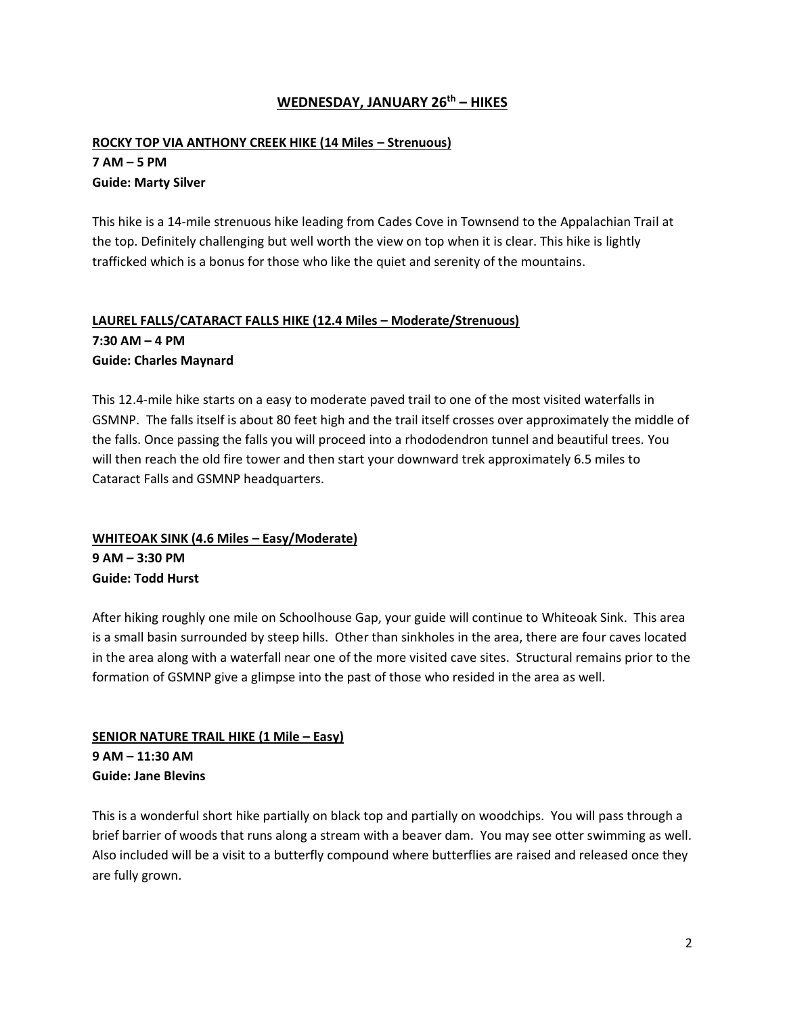#### **WEDNESDAY, JANUARY 26th – HIKES**

### **ROCKY TOP VIA ANTHONY CREEK HIKE (14 Miles – Strenuous) 7 AM – 5 PM Guide: Marty Silver**

This hike is a 14-mile strenuous hike leading from Cades Cove in Townsend to the Appalachian Trail at the top. Definitely challenging but well worth the view on top when it is clear. This hike is lightly trafficked which is a bonus for those who like the quiet and serenity of the mountains.

# **LAUREL FALLS/CATARACT FALLS HIKE (12.4 Miles – Moderate/Strenuous)**

**7:30 AM – 4 PM Guide: Charles Maynard**

This 12.4-mile hike starts on a easy to moderate paved trail to one of the most visited waterfalls in GSMNP. The falls itself is about 80 feet high and the trail itself crosses over approximately the middle of the falls. Once passing the falls you will proceed into a rhododendron tunnel and beautiful trees. You will then reach the old fire tower and then start your downward trek approximately 6.5 miles to Cataract Falls and GSMNP headquarters.

### **WHITEOAK SINK (4.6 Miles – Easy/Moderate) 9 AM – 3:30 PM Guide: Todd Hurst**

After hiking roughly one mile on Schoolhouse Gap, your guide will continue to Whiteoak Sink. This area is a small basin surrounded by steep hills. Other than sinkholes in the area, there are four caves located in the area along with a waterfall near one of the more visited cave sites. Structural remains prior to the formation of GSMNP give a glimpse into the past of those who resided in the area as well.

#### **SENIOR NATURE TRAIL HIKE (1 Mile – Easy) 9 AM – 11:30 AM Guide: Jane Blevins**

This is a wonderful short hike partially on black top and partially on woodchips. You will pass through a brief barrier of woods that runs along a stream with a beaver dam. You may see otter swimming as well. Also included will be a visit to a butterfly compound where butterflies are raised and released once they are fully grown.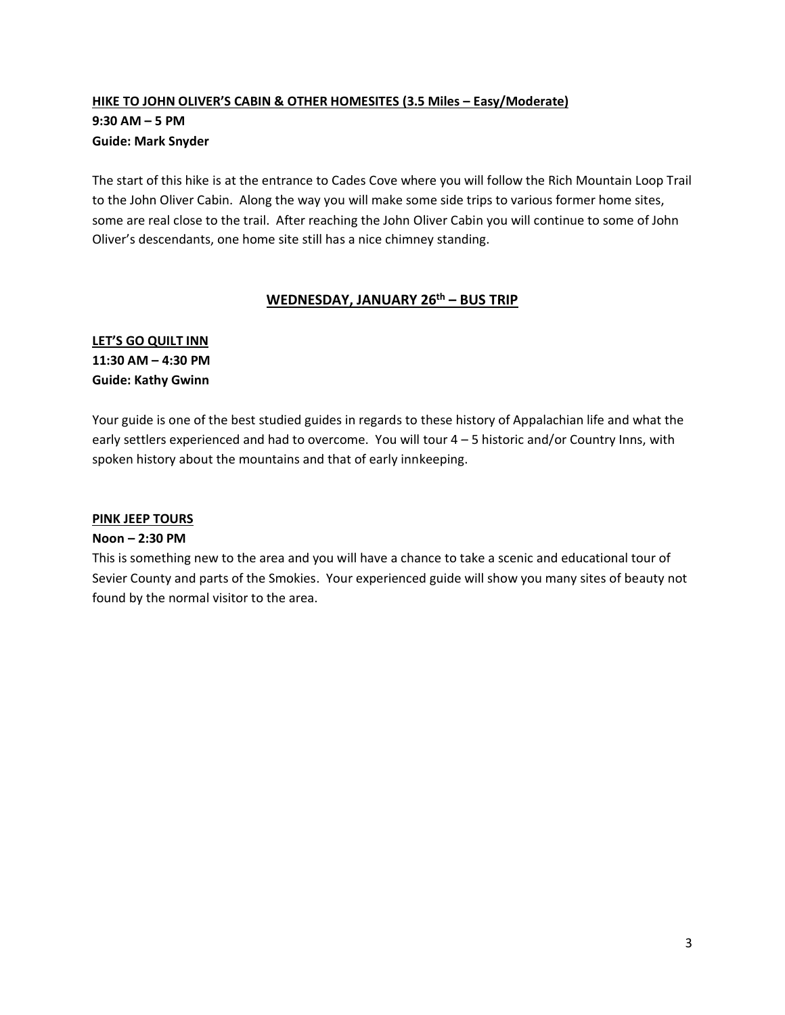# **HIKE TO JOHN OLIVER'S CABIN & OTHER HOMESITES (3.5 Miles – Easy/Moderate) 9:30 AM – 5 PM Guide: Mark Snyder**

The start of this hike is at the entrance to Cades Cove where you will follow the Rich Mountain Loop Trail to the John Oliver Cabin. Along the way you will make some side trips to various former home sites, some are real close to the trail. After reaching the John Oliver Cabin you will continue to some of John Oliver's descendants, one home site still has a nice chimney standing.

#### **WEDNESDAY, JANUARY 26th – BUS TRIP**

# **LET'S GO QUILT INN 11:30 AM – 4:30 PM Guide: Kathy Gwinn**

Your guide is one of the best studied guides in regards to these history of Appalachian life and what the early settlers experienced and had to overcome. You will tour 4 – 5 historic and/or Country Inns, with spoken history about the mountains and that of early innkeeping.

# **PINK JEEP TOURS**

#### **Noon – 2:30 PM**

This is something new to the area and you will have a chance to take a scenic and educational tour of Sevier County and parts of the Smokies. Your experienced guide will show you many sites of beauty not found by the normal visitor to the area.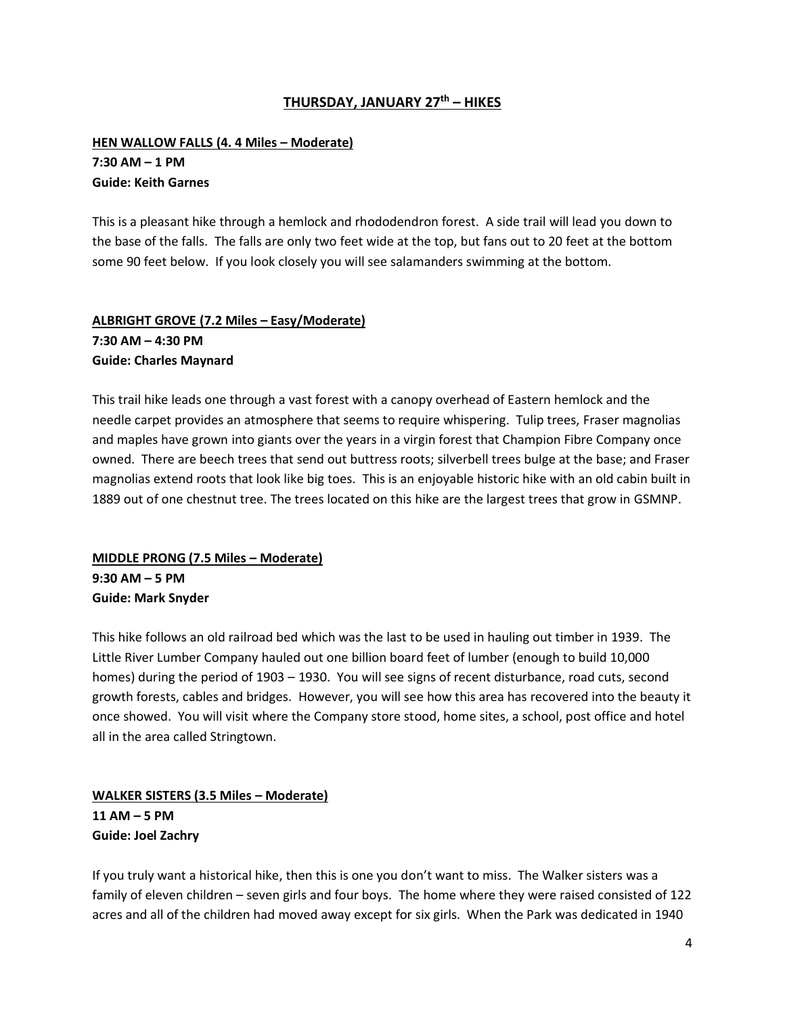#### **THURSDAY, JANUARY 27th – HIKES**

### **HEN WALLOW FALLS (4. 4 Miles - Moderate) 7:30 AM – 1 PM Guide: Keith Garnes**

This is a pleasant hike through a hemlock and rhododendron forest. A side trail will lead you down to the base of the falls. The falls are only two feet wide at the top, but fans out to 20 feet at the bottom some 90 feet below. If you look closely you will see salamanders swimming at the bottom.

# **ALBRIGHT GROVE (7.2 Miles – Easy/Moderate) 7:30 AM – 4:30 PM Guide: Charles Maynard**

This trail hike leads one through a vast forest with a canopy overhead of Eastern hemlock and the needle carpet provides an atmosphere that seems to require whispering. Tulip trees, Fraser magnolias and maples have grown into giants over the years in a virgin forest that Champion Fibre Company once owned. There are beech trees that send out buttress roots; silverbell trees bulge at the base; and Fraser magnolias extend roots that look like big toes. This is an enjoyable historic hike with an old cabin built in 1889 out of one chestnut tree. The trees located on this hike are the largest trees that grow in GSMNP.

### **MIDDLE PRONG (7.5 Miles – Moderate) 9:30 AM – 5 PM Guide: Mark Snyder**

This hike follows an old railroad bed which was the last to be used in hauling out timber in 1939. The Little River Lumber Company hauled out one billion board feet of lumber (enough to build 10,000 homes) during the period of 1903 – 1930. You will see signs of recent disturbance, road cuts, second growth forests, cables and bridges. However, you will see how this area has recovered into the beauty it once showed. You will visit where the Company store stood, home sites, a school, post office and hotel all in the area called Stringtown.

# **WALKER SISTERS (3.5 Miles – Moderate) 11 AM – 5 PM Guide: Joel Zachry**

If you truly want a historical hike, then this is one you don't want to miss. The Walker sisters was a family of eleven children – seven girls and four boys. The home where they were raised consisted of 122 acres and all of the children had moved away except for six girls. When the Park was dedicated in 1940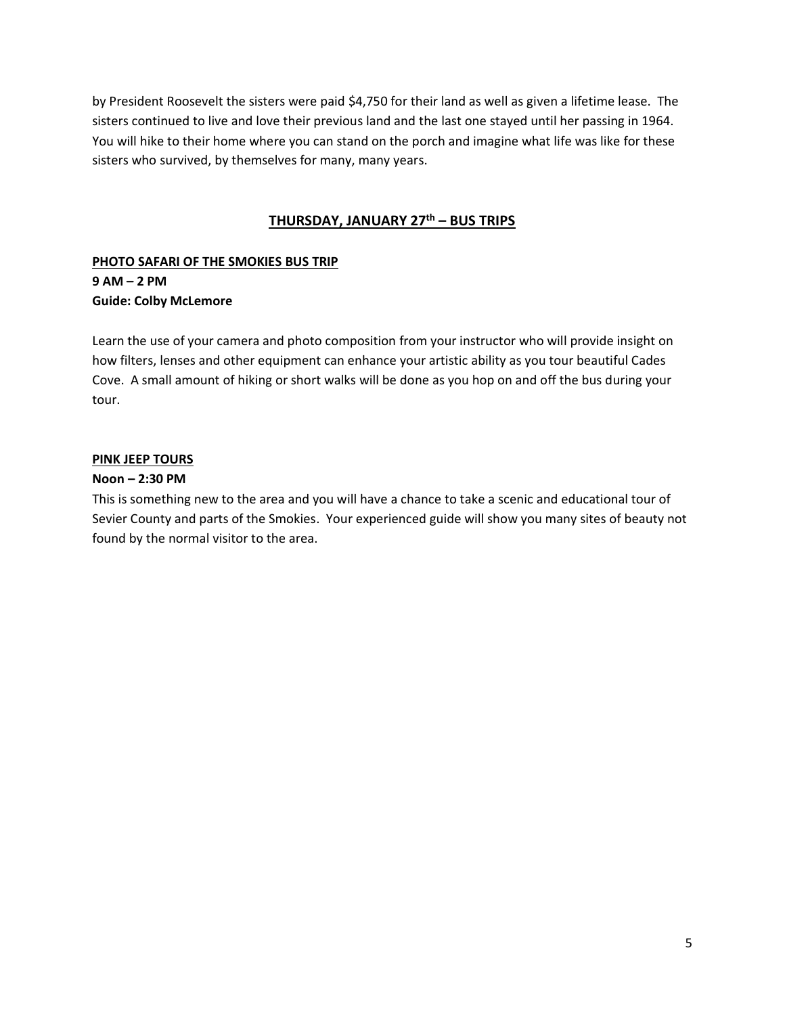by President Roosevelt the sisters were paid \$4,750 for their land as well as given a lifetime lease. The sisters continued to live and love their previous land and the last one stayed until her passing in 1964. You will hike to their home where you can stand on the porch and imagine what life was like for these sisters who survived, by themselves for many, many years.

#### **THURSDAY, JANUARY 27th – BUS TRIPS**

# **PHOTO SAFARI OF THE SMOKIES BUS TRIP 9 AM – 2 PM Guide: Colby McLemore**

Learn the use of your camera and photo composition from your instructor who will provide insight on how filters, lenses and other equipment can enhance your artistic ability as you tour beautiful Cades Cove. A small amount of hiking or short walks will be done as you hop on and off the bus during your tour.

#### **PINK JEEP TOURS**

#### **Noon – 2:30 PM**

This is something new to the area and you will have a chance to take a scenic and educational tour of Sevier County and parts of the Smokies. Your experienced guide will show you many sites of beauty not found by the normal visitor to the area.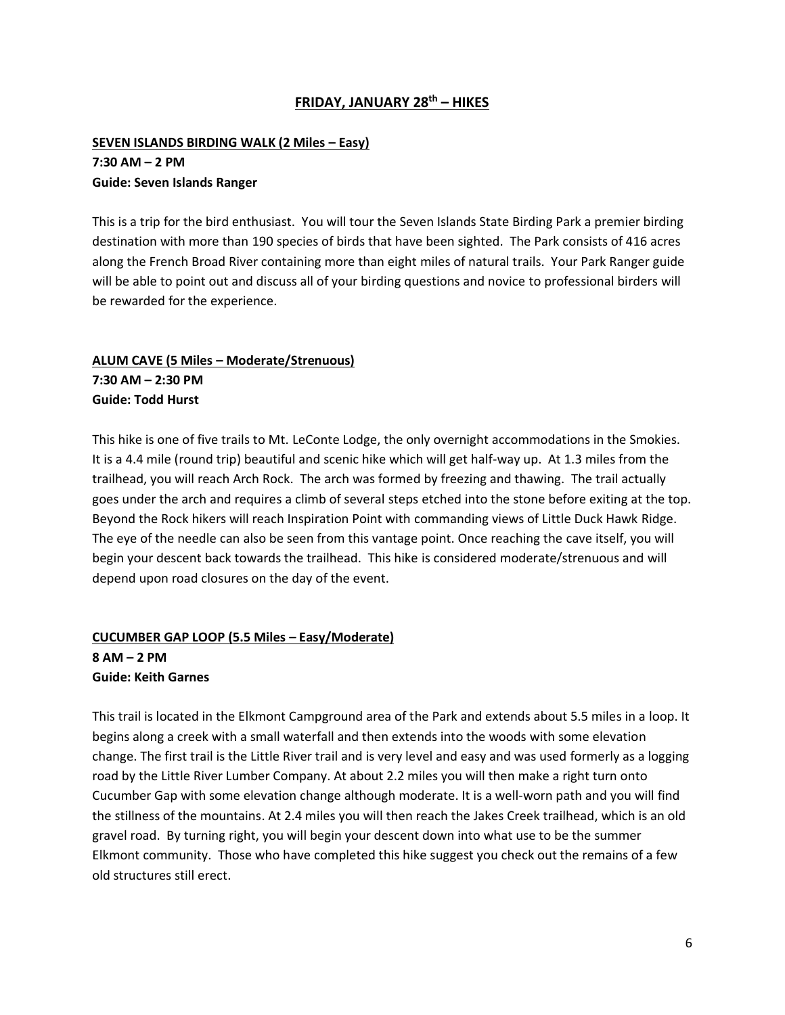### **FRIDAY, JANUARY 28 th – HIKES**

### **SEVEN ISLANDS BIRDING WALK (2 Miles – Easy) 7:30 AM – 2 PM Guide: Seven Islands Ranger**

This is a trip for the bird enthusiast. You will tour the Seven Islands State Birding Park a premier birding destination with more than 190 species of birds that have been sighted. The Park consists of 416 acres along the French Broad River containing more than eight miles of natural trails. Your Park Ranger guide will be able to point out and discuss all of your birding questions and novice to professional birders will be rewarded for the experience.

# **ALUM CAVE (5 Miles – Moderate/Strenuous) 7:30 AM – 2:30 PM Guide: Todd Hurst**

This hike is one of five trails to Mt. LeConte Lodge, the only overnight accommodations in the Smokies. It is a 4.4 mile (round trip) beautiful and scenic hike which will get half-way up. At 1.3 miles from the trailhead, you will reach Arch Rock. The arch was formed by freezing and thawing. The trail actually goes under the arch and requires a climb of several steps etched into the stone before exiting at the top. Beyond the Rock hikers will reach Inspiration Point with commanding views of Little Duck Hawk Ridge. The eye of the needle can also be seen from this vantage point. Once reaching the cave itself, you will begin your descent back towards the trailhead. This hike is considered moderate/strenuous and will depend upon road closures on the day of the event.

# **CUCUMBER GAP LOOP (5.5 Miles – Easy/Moderate) 8 AM – 2 PM Guide: Keith Garnes**

This trail is located in the Elkmont Campground area of the Park and extends about 5.5 miles in a loop. It begins along a creek with a small waterfall and then extends into the woods with some elevation change. The first trail is the Little River trail and is very level and easy and was used formerly as a logging road by the Little River Lumber Company. At about 2.2 miles you will then make a right turn onto Cucumber Gap with some elevation change although moderate. It is a well-worn path and you will find the stillness of the mountains. At 2.4 miles you will then reach the Jakes Creek trailhead, which is an old gravel road. By turning right, you will begin your descent down into what use to be the summer Elkmont community. Those who have completed this hike suggest you check out the remains of a few old structures still erect.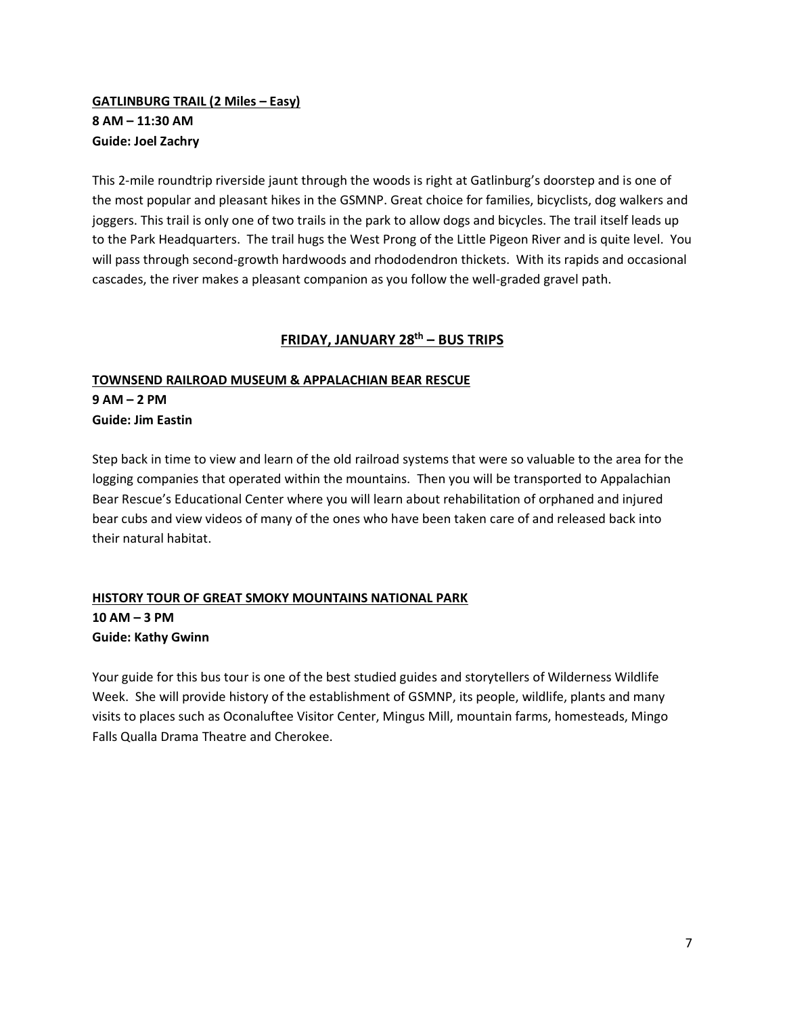# **GATLINBURG TRAIL (2 Miles – Easy) 8 AM – 11:30 AM Guide: Joel Zachry**

This 2-mile roundtrip riverside jaunt through the woods is right at Gatlinburg's doorstep and is one of the most popular and pleasant hikes in the GSMNP. Great choice for families, bicyclists, dog walkers and joggers. This trail is only one of two trails in the park to allow dogs and bicycles. The trail itself leads up to the Park Headquarters. The trail hugs the West Prong of the Little Pigeon River and is quite level. You will pass through second-growth hardwoods and rhododendron thickets. With its rapids and occasional cascades, the river makes a pleasant companion as you follow the well-graded gravel path.

# **FRIDAY, JANUARY 28 th – BUS TRIPS**

### **TOWNSEND RAILROAD MUSEUM & APPALACHIAN BEAR RESCUE**

**9 AM – 2 PM Guide: Jim Eastin**

Step back in time to view and learn of the old railroad systems that were so valuable to the area for the logging companies that operated within the mountains. Then you will be transported to Appalachian Bear Rescue's Educational Center where you will learn about rehabilitation of orphaned and injured bear cubs and view videos of many of the ones who have been taken care of and released back into their natural habitat.

# **HISTORY TOUR OF GREAT SMOKY MOUNTAINS NATIONAL PARK 10 AM – 3 PM Guide: Kathy Gwinn**

Your guide for this bus tour is one of the best studied guides and storytellers of Wilderness Wildlife Week. She will provide history of the establishment of GSMNP, its people, wildlife, plants and many visits to places such as Oconaluftee Visitor Center, Mingus Mill, mountain farms, homesteads, Mingo Falls Qualla Drama Theatre and Cherokee.